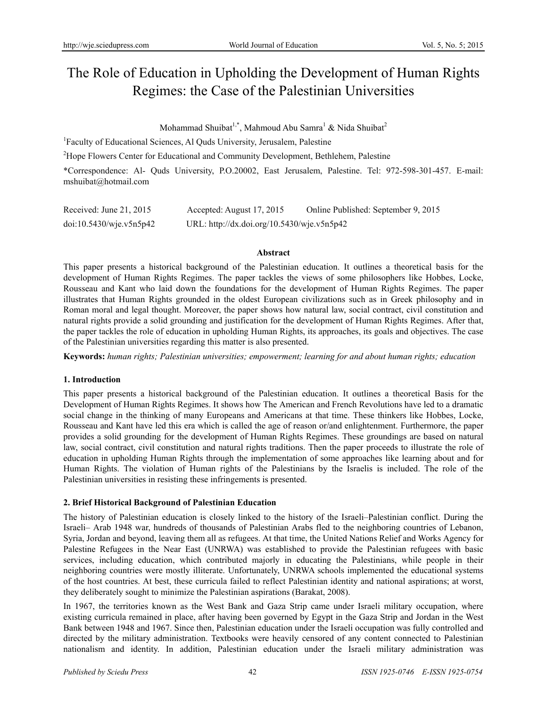# The Role of Education in Upholding the Development of Human Rights Regimes: the Case of the Palestinian Universities

Mohammad Shuibat<sup>1,\*</sup>, Mahmoud Abu Samra<sup>1</sup> & Nida Shuibat<sup>2</sup>

<sup>1</sup>Faculty of Educational Sciences, Al Quds University, Jerusalem, Palestine

<sup>2</sup>Hope Flowers Center for Educational and Community Development, Bethlehem, Palestine

\*Correspondence: Al- Quds University, P.O.20002, East Jerusalem, Palestine. Tel: 972-598-301-457. E-mail: mshuibat@hotmail.com

| Received: June $21, 2015$ | Accepted: August 17, 2015                  | Online Published: September 9, 2015 |
|---------------------------|--------------------------------------------|-------------------------------------|
| doi:10.5430/wje.v5n5p42   | URL: http://dx.doi.org/10.5430/wje.v5n5p42 |                                     |

# **Abstract**

This paper presents a historical background of the Palestinian education. It outlines a theoretical basis for the development of Human Rights Regimes. The paper tackles the views of some philosophers like Hobbes, Locke, Rousseau and Kant who laid down the foundations for the development of Human Rights Regimes. The paper illustrates that Human Rights grounded in the oldest European civilizations such as in Greek philosophy and in Roman moral and legal thought. Moreover, the paper shows how natural law, social contract, civil constitution and natural rights provide a solid grounding and justification for the development of Human Rights Regimes. After that, the paper tackles the role of education in upholding Human Rights, its approaches, its goals and objectives. The case of the Palestinian universities regarding this matter is also presented.

**Keywords:** *human rights; Palestinian universities; empowerment; learning for and about human rights; education*

# **1. Introduction**

This paper presents a historical background of the Palestinian education. It outlines a theoretical Basis for the Development of Human Rights Regimes. It shows how The American and French Revolutions have led to a dramatic social change in the thinking of many Europeans and Americans at that time. These thinkers like Hobbes, Locke, Rousseau and Kant have led this era which is called the age of reason or/and enlightenment. Furthermore, the paper provides a solid grounding for the development of Human Rights Regimes. These groundings are based on natural law, social contract, civil constitution and natural rights traditions. Then the paper proceeds to illustrate the role of education in upholding Human Rights through the implementation of some approaches like learning about and for Human Rights. The violation of Human rights of the Palestinians by the Israelis is included. The role of the Palestinian universities in resisting these infringements is presented.

# **2. Brief Historical Background of Palestinian Education**

The history of Palestinian education is closely linked to the history of the Israeli–Palestinian conflict. During the Israeli– Arab 1948 war, hundreds of thousands of Palestinian Arabs fled to the neighboring countries of Lebanon, Syria, Jordan and beyond, leaving them all as refugees. At that time, the United Nations Relief and Works Agency for Palestine Refugees in the Near East (UNRWA) was established to provide the Palestinian refugees with basic services, including education, which contributed majorly in educating the Palestinians, while people in their neighboring countries were mostly illiterate. Unfortunately, UNRWA schools implemented the educational systems of the host countries. At best, these curricula failed to reflect Palestinian identity and national aspirations; at worst, they deliberately sought to minimize the Palestinian aspirations (Barakat, 2008).

In 1967, the territories known as the West Bank and Gaza Strip came under Israeli military occupation, where existing curricula remained in place, after having been governed by Egypt in the Gaza Strip and Jordan in the West Bank between 1948 and 1967. Since then, Palestinian education under the Israeli occupation was fully controlled and directed by the military administration. Textbooks were heavily censored of any content connected to Palestinian nationalism and identity. In addition, Palestinian education under the Israeli military administration was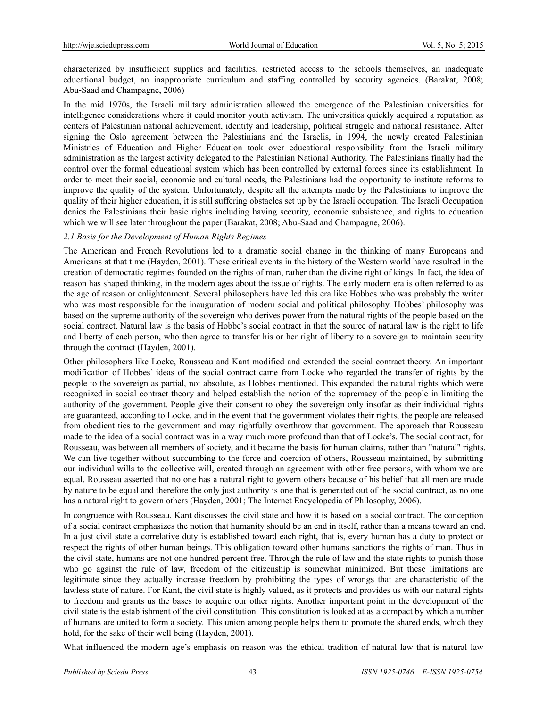characterized by insufficient supplies and facilities, restricted access to the schools themselves, an inadequate educational budget, an inappropriate curriculum and staffing controlled by security agencies. (Barakat, 2008; Abu-Saad and Champagne, 2006)

In the mid 1970s, the Israeli military administration allowed the emergence of the Palestinian universities for intelligence considerations where it could monitor youth activism. The universities quickly acquired a reputation as centers of Palestinian national achievement, identity and leadership, political struggle and national resistance. After signing the Oslo agreement between the Palestinians and the Israelis, in 1994, the newly created Palestinian Ministries of Education and Higher Education took over educational responsibility from the Israeli military administration as the largest activity delegated to the Palestinian National Authority. The Palestinians finally had the control over the formal educational system which has been controlled by external forces since its establishment. In order to meet their social, economic and cultural needs, the Palestinians had the opportunity to institute reforms to improve the quality of the system. Unfortunately, despite all the attempts made by the Palestinians to improve the quality of their higher education, it is still suffering obstacles set up by the Israeli occupation. The Israeli Occupation denies the Palestinians their basic rights including having security, economic subsistence, and rights to education which we will see later throughout the paper (Barakat, 2008; Abu-Saad and Champagne, 2006).

# *2.1 Basis for the Development of Human Rights Regimes*

The American and French Revolutions led to a dramatic social change in the thinking of many Europeans and Americans at that time (Hayden, 2001). These critical events in the history of the Western world have resulted in the creation of democratic regimes founded on the rights of man, rather than the divine right of kings. In fact, the idea of reason has shaped thinking, in the modern ages about the issue of rights. The early modern era is often referred to as the age of reason or enlightenment. Several philosophers have led this era like Hobbes who was probably the writer who was most responsible for the inauguration of modern social and political philosophy. Hobbes' philosophy was based on the supreme authority of the sovereign who derives power from the natural rights of the people based on the social contract. Natural law is the basis of Hobbe's social contract in that the source of natural law is the right to life and liberty of each person, who then agree to transfer his or her right of liberty to a sovereign to maintain security through the contract (Hayden, 2001).

Other philosophers like Locke, Rousseau and Kant modified and extended the social contract theory. An important modification of Hobbes' ideas of the social contract came from Locke who regarded the transfer of rights by the people to the sovereign as partial, not absolute, as Hobbes mentioned. This expanded the natural rights which were recognized in social contract theory and helped establish the notion of the supremacy of the people in limiting the authority of the government. People give their consent to obey the sovereign only insofar as their individual rights are guaranteed, according to Locke, and in the event that the government violates their rights, the people are released from obedient ties to the government and may rightfully overthrow that government. The approach that Rousseau made to the idea of a social contract was in a way much more profound than that of Locke's. The social contract, for Rousseau, was between all members of society, and it became the basis for human claims, rather than "natural" rights. We can live together without succumbing to the force and coercion of others, Rousseau maintained, by submitting our individual wills to the collective will, created through an agreement with other free persons, with whom we are equal. Rousseau asserted that no one has a natural right to govern others because of his belief that all men are made by nature to be equal and therefore the only just authority is one that is generated out of the social contract, as no one has a natural right to govern others (Hayden, 2001; The Internet Encyclopedia of Philosophy, 2006).

In congruence with Rousseau, Kant discusses the civil state and how it is based on a social contract. The conception of a social contract emphasizes the notion that humanity should be an end in itself, rather than a means toward an end. In a just civil state a correlative duty is established toward each right, that is, every human has a duty to protect or respect the rights of other human beings. This obligation toward other humans sanctions the rights of man. Thus in the civil state, humans are not one hundred percent free. Through the rule of law and the state rights to punish those who go against the rule of law, freedom of the citizenship is somewhat minimized. But these limitations are legitimate since they actually increase freedom by prohibiting the types of wrongs that are characteristic of the lawless state of nature. For Kant, the civil state is highly valued, as it protects and provides us with our natural rights to freedom and grants us the bases to acquire our other rights. Another important point in the development of the civil state is the establishment of the civil constitution. This constitution is looked at as a compact by which a number of humans are united to form a society. This union among people helps them to promote the shared ends, which they hold, for the sake of their well being (Hayden, 2001).

What influenced the modern age's emphasis on reason was the ethical tradition of natural law that is natural law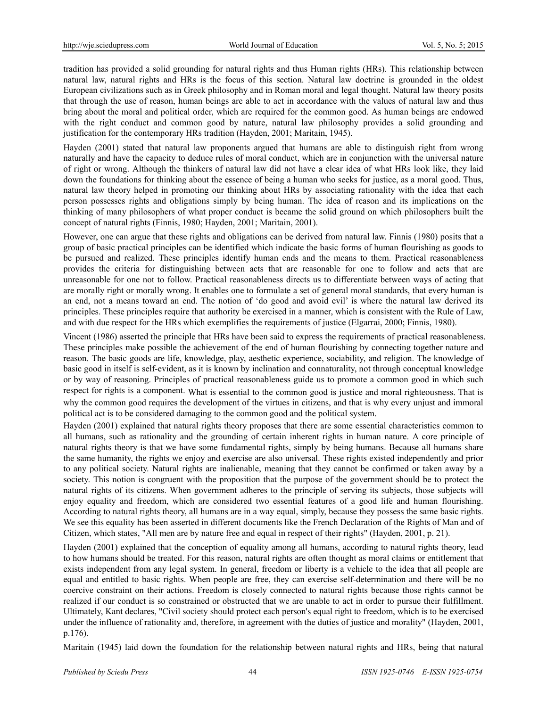tradition has provided a solid grounding for natural rights and thus Human rights (HRs). This relationship between natural law, natural rights and HRs is the focus of this section. Natural law doctrine is grounded in the oldest European civilizations such as in Greek philosophy and in Roman moral and legal thought. Natural law theory posits that through the use of reason, human beings are able to act in accordance with the values of natural law and thus bring about the moral and political order, which are required for the common good. As human beings are endowed with the right conduct and common good by nature, natural law philosophy provides a solid grounding and justification for the contemporary HRs tradition (Hayden, 2001; Maritain, 1945).

Hayden (2001) stated that natural law proponents argued that humans are able to distinguish right from wrong naturally and have the capacity to deduce rules of moral conduct, which are in conjunction with the universal nature of right or wrong. Although the thinkers of natural law did not have a clear idea of what HRs look like, they laid down the foundations for thinking about the essence of being a human who seeks for justice, as a moral good. Thus, natural law theory helped in promoting our thinking about HRs by associating rationality with the idea that each person possesses rights and obligations simply by being human. The idea of reason and its implications on the thinking of many philosophers of what proper conduct is became the solid ground on which philosophers built the concept of natural rights (Finnis, 1980; Hayden, 2001; Maritain, 2001).

However, one can argue that these rights and obligations can be derived from natural law. Finnis (1980) posits that a group of basic practical principles can be identified which indicate the basic forms of human flourishing as goods to be pursued and realized. These principles identify human ends and the means to them. Practical reasonableness provides the criteria for distinguishing between acts that are reasonable for one to follow and acts that are unreasonable for one not to follow. Practical reasonableness directs us to differentiate between ways of acting that are morally right or morally wrong. It enables one to formulate a set of general moral standards, that every human is an end, not a means toward an end. The notion of 'do good and avoid evil' is where the natural law derived its principles. These principles require that authority be exercised in a manner, which is consistent with the Rule of Law, and with due respect for the HRs which exemplifies the requirements of justice (Elgarrai, 2000; Finnis, 1980).

Vincent (1986) asserted the principle that HRs have been said to express the requirements of practical reasonableness. These principles make possible the achievement of the end of human flourishing by connecting together nature and reason. The basic goods are life, knowledge, play, aesthetic experience, sociability, and religion. The knowledge of basic good in itself is self-evident, as it is known by inclination and connaturality, not through conceptual knowledge or by way of reasoning. Principles of practical reasonableness guide us to promote a common good in which such respect for rights is a component. What is essential to the common good is justice and moral righteousness. That is why the common good requires the development of the virtues in citizens, and that is why every unjust and immoral political act is to be considered damaging to the common good and the political system.

Hayden (2001) explained that natural rights theory proposes that there are some essential characteristics common to all humans, such as rationality and the grounding of certain inherent rights in human nature. A core principle of natural rights theory is that we have some fundamental rights, simply by being humans. Because all humans share the same humanity, the rights we enjoy and exercise are also universal. These rights existed independently and prior to any political society. Natural rights are inalienable, meaning that they cannot be confirmed or taken away by a society. This notion is congruent with the proposition that the purpose of the government should be to protect the natural rights of its citizens. When government adheres to the principle of serving its subjects, those subjects will enjoy equality and freedom, which are considered two essential features of a good life and human flourishing. According to natural rights theory, all humans are in a way equal, simply, because they possess the same basic rights. We see this equality has been asserted in different documents like the French Declaration of the Rights of Man and of Citizen, which states, "All men are by nature free and equal in respect of their rights" (Hayden, 2001, p. 21).

Hayden (2001) explained that the conception of equality among all humans, according to natural rights theory, lead to how humans should be treated. For this reason, natural rights are often thought as moral claims or entitlement that exists independent from any legal system. In general, freedom or liberty is a vehicle to the idea that all people are equal and entitled to basic rights. When people are free, they can exercise self-determination and there will be no coercive constraint on their actions. Freedom is closely connected to natural rights because those rights cannot be realized if our conduct is so constrained or obstructed that we are unable to act in order to pursue their fulfillment. Ultimately, Kant declares, "Civil society should protect each person's equal right to freedom, which is to be exercised under the influence of rationality and, therefore, in agreement with the duties of justice and morality" (Hayden, 2001, p.176).

Maritain (1945) laid down the foundation for the relationship between natural rights and HRs, being that natural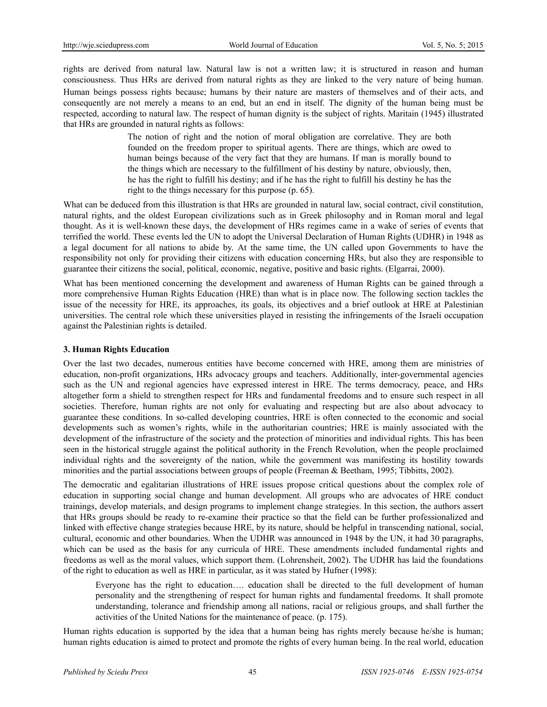rights are derived from natural law. Natural law is not a written law; it is structured in reason and human consciousness. Thus HRs are derived from natural rights as they are linked to the very nature of being human.

Human beings possess rights because; humans by their nature are masters of themselves and of their acts, and consequently are not merely a means to an end, but an end in itself. The dignity of the human being must be respected, according to natural law. The respect of human dignity is the subject of rights. Maritain (1945) illustrated that HRs are grounded in natural rights as follows:

> The notion of right and the notion of moral obligation are correlative. They are both founded on the freedom proper to spiritual agents. There are things, which are owed to human beings because of the very fact that they are humans. If man is morally bound to the things which are necessary to the fulfillment of his destiny by nature, obviously, then, he has the right to fulfill his destiny; and if he has the right to fulfill his destiny he has the right to the things necessary for this purpose (p. 65).

What can be deduced from this illustration is that HRs are grounded in natural law, social contract, civil constitution, natural rights, and the oldest European civilizations such as in Greek philosophy and in Roman moral and legal thought. As it is well-known these days, the development of HRs regimes came in a wake of series of events that terrified the world. These events led the UN to adopt the Universal Declaration of Human Rights (UDHR) in 1948 as a legal document for all nations to abide by. At the same time, the UN called upon Governments to have the responsibility not only for providing their citizens with education concerning HRs, but also they are responsible to guarantee their citizens the social, political, economic, negative, positive and basic rights. (Elgarrai, 2000).

What has been mentioned concerning the development and awareness of Human Rights can be gained through a more comprehensive Human Rights Education (HRE) than what is in place now. The following section tackles the issue of the necessity for HRE, its approaches, its goals, its objectives and a brief outlook at HRE at Palestinian universities. The central role which these universities played in resisting the infringements of the Israeli occupation against the Palestinian rights is detailed.

# **3. Human Rights Education**

Over the last two decades, numerous entities have become concerned with HRE, among them are ministries of education, non-profit organizations, HRs advocacy groups and teachers. Additionally, inter-governmental agencies such as the UN and regional agencies have expressed interest in HRE. The terms democracy, peace, and HRs altogether form a shield to strengthen respect for HRs and fundamental freedoms and to ensure such respect in all societies. Therefore, human rights are not only for evaluating and respecting but are also about advocacy to guarantee these conditions. In so-called developing countries, HRE is often connected to the economic and social developments such as women's rights, while in the authoritarian countries; HRE is mainly associated with the development of the infrastructure of the society and the protection of minorities and individual rights. This has been seen in the historical struggle against the political authority in the French Revolution, when the people proclaimed individual rights and the sovereignty of the nation, while the government was manifesting its hostility towards minorities and the partial associations between groups of people (Freeman & Beetham, 1995; Tibbitts, 2002).

The democratic and egalitarian illustrations of HRE issues propose critical questions about the complex role of education in supporting social change and human development. All groups who are advocates of HRE conduct trainings, develop materials, and design programs to implement change strategies. In this section, the authors assert that HRs groups should be ready to re-examine their practice so that the field can be further professionalized and linked with effective change strategies because HRE, by its nature, should be helpful in transcending national, social, cultural, economic and other boundaries. When the UDHR was announced in 1948 by the UN, it had 30 paragraphs, which can be used as the basis for any curricula of HRE. These amendments included fundamental rights and freedoms as well as the moral values, which support them. (Lohrensheit, 2002). The UDHR has laid the foundations of the right to education as well as HRE in particular, as it was stated by Hufner (1998):

Everyone has the right to education…. education shall be directed to the full development of human personality and the strengthening of respect for human rights and fundamental freedoms. It shall promote understanding, tolerance and friendship among all nations, racial or religious groups, and shall further the activities of the United Nations for the maintenance of peace. (p. 175).

Human rights education is supported by the idea that a human being has rights merely because he/she is human; human rights education is aimed to protect and promote the rights of every human being. In the real world, education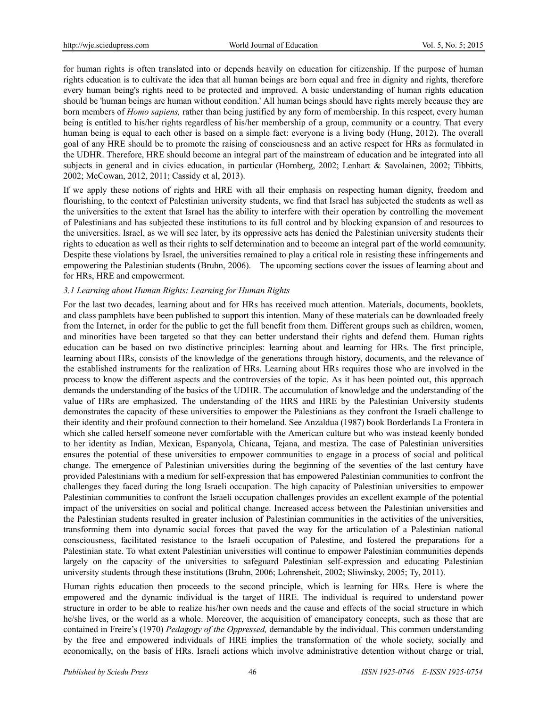for human rights is often translated into or depends heavily on education for citizenship. If the purpose of human rights education is to cultivate the idea that all human beings are born equal and free in dignity and rights, therefore every human being's rights need to be protected and improved. A basic understanding of human rights education should be 'human beings are human without condition.' All human beings should have rights merely because they are born members of *Homo sapiens,* rather than being justified by any form of membership. In this respect, every human being is entitled to his/her rights regardless of his/her membership of a group, community or a country. That every human being is equal to each other is based on a simple fact: everyone is a living body (Hung, 2012). The overall goal of any HRE should be to promote the raising of consciousness and an active respect for HRs as formulated in the UDHR. Therefore, HRE should become an integral part of the mainstream of education and be integrated into all subjects in general and in civics education, in particular (Hornberg, 2002; Lenhart & Savolainen, 2002; Tibbitts, 2002; McCowan, 2012, 2011; Cassidy et al, 2013).

If we apply these notions of rights and HRE with all their emphasis on respecting human dignity, freedom and flourishing, to the context of Palestinian university students, we find that Israel has subjected the students as well as the universities to the extent that Israel has the ability to interfere with their operation by controlling the movement of Palestinians and has subjected these institutions to its full control and by blocking expansion of and resources to the universities. Israel, as we will see later, by its oppressive acts has denied the Palestinian university students their rights to education as well as their rights to self determination and to become an integral part of the world community. Despite these violations by Israel, the universities remained to play a critical role in resisting these infringements and empowering the Palestinian students (Bruhn, 2006). The upcoming sections cover the issues of learning about and for HRs, HRE and empowerment.

# *3.1 Learning about Human Rights: Learning for Human Rights*

For the last two decades, learning about and for HRs has received much attention. Materials, documents, booklets, and class pamphlets have been published to support this intention. Many of these materials can be downloaded freely from the Internet, in order for the public to get the full benefit from them. Different groups such as children, women, and minorities have been targeted so that they can better understand their rights and defend them. Human rights education can be based on two distinctive principles: learning about and learning for HRs. The first principle, learning about HRs, consists of the knowledge of the generations through history, documents, and the relevance of the established instruments for the realization of HRs. Learning about HRs requires those who are involved in the process to know the different aspects and the controversies of the topic. As it has been pointed out, this approach demands the understanding of the basics of the UDHR. The accumulation of knowledge and the understanding of the value of HRs are emphasized. The understanding of the HRS and HRE by the Palestinian University students demonstrates the capacity of these universities to empower the Palestinians as they confront the Israeli challenge to their identity and their profound connection to their homeland. See Anzaldua (1987) book Borderlands La Frontera in which she called herself someone never comfortable with the American culture but who was instead keenly bonded to her identity as Indian, Mexican, Espanyola, Chicana, Tejana, and mestiza. The case of Palestinian universities ensures the potential of these universities to empower communities to engage in a process of social and political change. The emergence of Palestinian universities during the beginning of the seventies of the last century have provided Palestinians with a medium for self-expression that has empowered Palestinian communities to confront the challenges they faced during the long Israeli occupation. The high capacity of Palestinian universities to empower Palestinian communities to confront the Israeli occupation challenges provides an excellent example of the potential impact of the universities on social and political change. Increased access between the Palestinian universities and the Palestinian students resulted in greater inclusion of Palestinian communities in the activities of the universities, transforming them into dynamic social forces that paved the way for the articulation of a Palestinian national consciousness, facilitated resistance to the Israeli occupation of Palestine, and fostered the preparations for a Palestinian state. To what extent Palestinian universities will continue to empower Palestinian communities depends largely on the capacity of the universities to safeguard Palestinian self-expression and educating Palestinian university students through these institutions (Bruhn, 2006; Lohrensheit, 2002; Sliwinsky, 2005; Ty, 2011).

Human rights education then proceeds to the second principle, which is learning for HRs. Here is where the empowered and the dynamic individual is the target of HRE. The individual is required to understand power structure in order to be able to realize his/her own needs and the cause and effects of the social structure in which he/she lives, or the world as a whole. Moreover, the acquisition of emancipatory concepts, such as those that are contained in Freire's (1970) *Pedagogy of the Oppressed,* demandable by the individual. This common understanding by the free and empowered individuals of HRE implies the transformation of the whole society, socially and economically, on the basis of HRs. Israeli actions which involve administrative detention without charge or trial,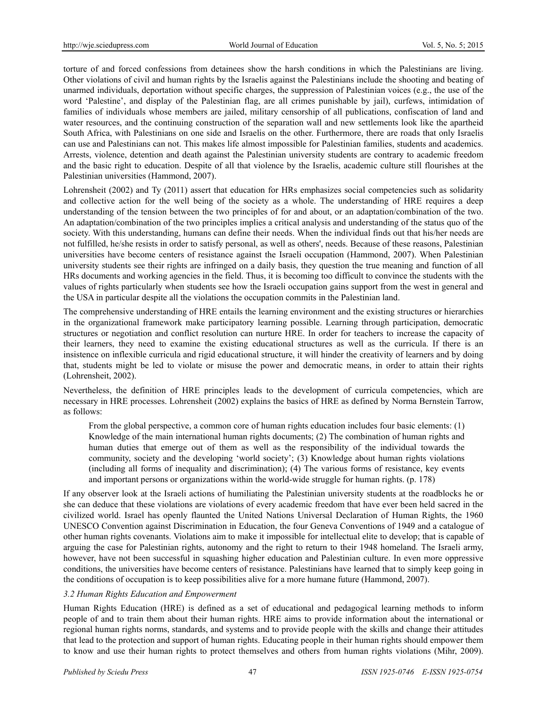torture of and forced confessions from detainees show the harsh conditions in which the Palestinians are living. Other violations of civil and human rights by the Israelis against the Palestinians include the shooting and beating of unarmed individuals, deportation without specific charges, the suppression of Palestinian voices (e.g., the use of the word 'Palestine', and display of the Palestinian flag, are all crimes punishable by jail), curfews, intimidation of families of individuals whose members are jailed, military censorship of all publications, confiscation of land and water resources, and the continuing construction of the separation wall and new settlements look like the apartheid South Africa, with Palestinians on one side and Israelis on the other. Furthermore, there are roads that only Israelis can use and Palestinians can not. This makes life almost impossible for Palestinian families, students and academics. Arrests, violence, detention and death against the Palestinian university students are contrary to academic freedom and the basic right to education. Despite of all that violence by the Israelis, academic culture still flourishes at the Palestinian universities (Hammond, 2007).

Lohrensheit (2002) and Ty (2011) assert that education for HRs emphasizes social competencies such as solidarity and collective action for the well being of the society as a whole. The understanding of HRE requires a deep understanding of the tension between the two principles of for and about, or an adaptation/combination of the two. An adaptation/combination of the two principles implies a critical analysis and understanding of the status quo of the society. With this understanding, humans can define their needs. When the individual finds out that his/her needs are not fulfilled, he/she resists in order to satisfy personal, as well as others', needs. Because of these reasons, Palestinian universities have become centers of resistance against the Israeli occupation (Hammond, 2007). When Palestinian university students see their rights are infringed on a daily basis, they question the true meaning and function of all HRs documents and working agencies in the field. Thus, it is becoming too difficult to convince the students with the values of rights particularly when students see how the Israeli occupation gains support from the west in general and the USA in particular despite all the violations the occupation commits in the Palestinian land.

The comprehensive understanding of HRE entails the learning environment and the existing structures or hierarchies in the organizational framework make participatory learning possible. Learning through participation, democratic structures or negotiation and conflict resolution can nurture HRE. In order for teachers to increase the capacity of their learners, they need to examine the existing educational structures as well as the curricula. If there is an insistence on inflexible curricula and rigid educational structure, it will hinder the creativity of learners and by doing that, students might be led to violate or misuse the power and democratic means, in order to attain their rights (Lohrensheit, 2002).

Nevertheless, the definition of HRE principles leads to the development of curricula competencies, which are necessary in HRE processes. Lohrensheit (2002) explains the basics of HRE as defined by Norma Bernstein Tarrow, as follows:

From the global perspective, a common core of human rights education includes four basic elements: (1) Knowledge of the main international human rights documents; (2) The combination of human rights and human duties that emerge out of them as well as the responsibility of the individual towards the community, society and the developing 'world society'; (3) Knowledge about human rights violations (including all forms of inequality and discrimination); (4) The various forms of resistance, key events and important persons or organizations within the world-wide struggle for human rights. (p. 178)

If any observer look at the Israeli actions of humiliating the Palestinian university students at the roadblocks he or she can deduce that these violations are violations of every academic freedom that have ever been held sacred in the civilized world. Israel has openly flaunted the United Nations Universal Declaration of Human Rights, the 1960 UNESCO Convention against Discrimination in Education, the four Geneva Conventions of 1949 and a catalogue of other human rights covenants. Violations aim to make it impossible for intellectual elite to develop; that is capable of arguing the case for Palestinian rights, autonomy and the right to return to their 1948 homeland. The Israeli army, however, have not been successful in squashing higher education and Palestinian culture. In even more oppressive conditions, the universities have become centers of resistance. Palestinians have learned that to simply keep going in the conditions of occupation is to keep possibilities alive for a more humane future (Hammond, 2007).

# *3.2 Human Rights Education and Empowerment*

Human Rights Education (HRE) is defined as a set of educational and pedagogical learning methods to inform people of and to train them about their human rights. HRE aims to provide information about the international or regional human rights norms, standards, and systems and to provide people with the skills and change their attitudes that lead to the protection and support of human rights. Educating people in their human rights should empower them to know and use their human rights to protect themselves and others from human rights violations (Mihr, 2009).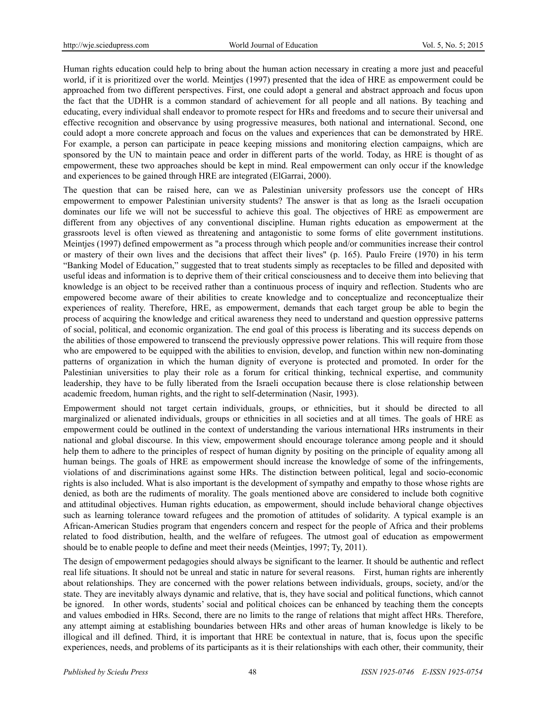Human rights education could help to bring about the human action necessary in creating a more just and peaceful world, if it is prioritized over the world. Meintjes (1997) presented that the idea of HRE as empowerment could be approached from two different perspectives. First, one could adopt a general and abstract approach and focus upon the fact that the UDHR is a common standard of achievement for all people and all nations. By teaching and educating, every individual shall endeavor to promote respect for HRs and freedoms and to secure their universal and effective recognition and observance by using progressive measures, both national and international. Second, one could adopt a more concrete approach and focus on the values and experiences that can be demonstrated by HRE. For example, a person can participate in peace keeping missions and monitoring election campaigns, which are sponsored by the UN to maintain peace and order in different parts of the world. Today, as HRE is thought of as empowerment, these two approaches should be kept in mind. Real empowerment can only occur if the knowledge and experiences to be gained through HRE are integrated (ElGarrai, 2000).

The question that can be raised here, can we as Palestinian university professors use the concept of HRs empowerment to empower Palestinian university students? The answer is that as long as the Israeli occupation dominates our life we will not be successful to achieve this goal. The objectives of HRE as empowerment are different from any objectives of any conventional discipline. Human rights education as empowerment at the grassroots level is often viewed as threatening and antagonistic to some forms of elite government institutions. Meintjes (1997) defined empowerment as "a process through which people and/or communities increase their control or mastery of their own lives and the decisions that affect their lives" (p. 165). Paulo Freire (1970) in his term "Banking Model of Education," suggested that to treat students simply as receptacles to be filled and deposited with useful ideas and information is to deprive them of their critical consciousness and to deceive them into believing that knowledge is an object to be received rather than a continuous process of inquiry and reflection. Students who are empowered become aware of their abilities to create knowledge and to conceptualize and reconceptualize their experiences of reality. Therefore, HRE, as empowerment, demands that each target group be able to begin the process of acquiring the knowledge and critical awareness they need to understand and question oppressive patterns of social, political, and economic organization. The end goal of this process is liberating and its success depends on the abilities of those empowered to transcend the previously oppressive power relations. This will require from those who are empowered to be equipped with the abilities to envision, develop, and function within new non-dominating patterns of organization in which the human dignity of everyone is protected and promoted. In order for the Palestinian universities to play their role as a forum for critical thinking, technical expertise, and community leadership, they have to be fully liberated from the Israeli occupation because there is close relationship between academic freedom, human rights, and the right to self-determination (Nasir, 1993).

Empowerment should not target certain individuals, groups, or ethnicities, but it should be directed to all marginalized or alienated individuals, groups or ethnicities in all societies and at all times. The goals of HRE as empowerment could be outlined in the context of understanding the various international HRs instruments in their national and global discourse. In this view, empowerment should encourage tolerance among people and it should help them to adhere to the principles of respect of human dignity by positing on the principle of equality among all human beings. The goals of HRE as empowerment should increase the knowledge of some of the infringements, violations of and discriminations against some HRs. The distinction between political, legal and socio-economic rights is also included. What is also important is the development of sympathy and empathy to those whose rights are denied, as both are the rudiments of morality. The goals mentioned above are considered to include both cognitive and attitudinal objectives. Human rights education, as empowerment, should include behavioral change objectives such as learning tolerance toward refugees and the promotion of attitudes of solidarity. A typical example is an African-American Studies program that engenders concern and respect for the people of Africa and their problems related to food distribution, health, and the welfare of refugees. The utmost goal of education as empowerment should be to enable people to define and meet their needs (Meintjes, 1997; Ty, 2011).

The design of empowerment pedagogies should always be significant to the learner. It should be authentic and reflect real life situations. It should not be unreal and static in nature for several reasons. First, human rights are inherently about relationships. They are concerned with the power relations between individuals, groups, society, and/or the state. They are inevitably always dynamic and relative, that is, they have social and political functions, which cannot be ignored. In other words, students' social and political choices can be enhanced by teaching them the concepts and values embodied in HRs. Second, there are no limits to the range of relations that might affect HRs. Therefore, any attempt aiming at establishing boundaries between HRs and other areas of human knowledge is likely to be illogical and ill defined. Third, it is important that HRE be contextual in nature, that is, focus upon the specific experiences, needs, and problems of its participants as it is their relationships with each other, their community, their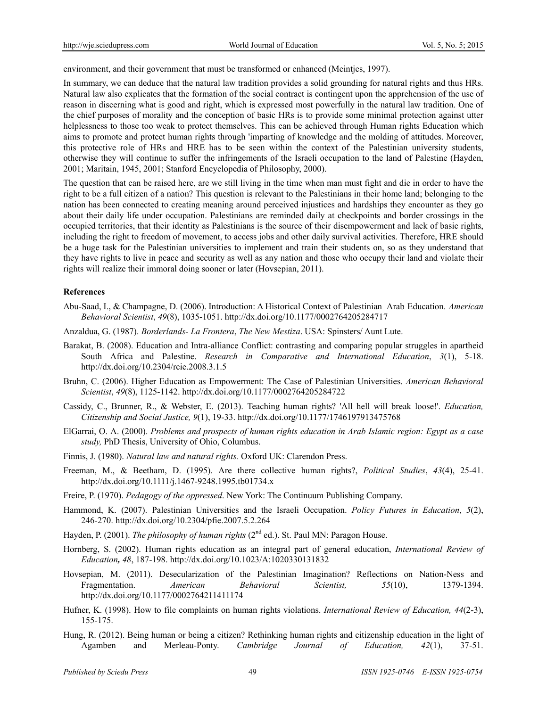environment, and their government that must be transformed or enhanced (Meintjes, 1997).

In summary, we can deduce that the natural law tradition provides a solid grounding for natural rights and thus HRs. Natural law also explicates that the formation of the social contract is contingent upon the apprehension of the use of reason in discerning what is good and right, which is expressed most powerfully in the natural law tradition. One of the chief purposes of morality and the conception of basic HRs is to provide some minimal protection against utter helplessness to those too weak to protect themselves. This can be achieved through Human rights Education which aims to promote and protect human rights through 'imparting of knowledge and the molding of attitudes. Moreover, this protective role of HRs and HRE has to be seen within the context of the Palestinian university students, otherwise they will continue to suffer the infringements of the Israeli occupation to the land of Palestine (Hayden, 2001; Maritain, 1945, 2001; Stanford Encyclopedia of Philosophy, 2000).

The question that can be raised here, are we still living in the time when man must fight and die in order to have the right to be a full citizen of a nation? This question is relevant to the Palestinians in their home land; belonging to the nation has been connected to creating meaning around perceived injustices and hardships they encounter as they go about their daily life under occupation. Palestinians are reminded daily at checkpoints and border crossings in the occupied territories, that their identity as Palestinians is the source of their disempowerment and lack of basic rights, including the right to freedom of movement, to access jobs and other daily survival activities. Therefore, HRE should be a huge task for the Palestinian universities to implement and train their students on, so as they understand that they have rights to live in peace and security as well as any nation and those who occupy their land and violate their rights will realize their immoral doing sooner or later (Hovsepian, 2011).

# **References**

- Abu-Saad, I., & Champagne, D. (2006). Introduction: A Historical Context of Palestinian Arab Education. *American Behavioral Scientist*, *49*(8), 1035-1051. http://dx.doi.org/10.1177/0002764205284717
- Anzaldua, G. (1987). *Borderlands- La Frontera*, *The New Mestiza*. USA: Spinsters/ Aunt Lute.
- Barakat, B. (2008). Education and Intra-alliance Conflict: contrasting and comparing popular struggles in apartheid South Africa and Palestine. *Research in Comparative and International Education*, *3*(1), 5-18. http://dx.doi.org/10.2304/rcie.2008.3.1.5
- Bruhn, C. (2006). Higher Education as Empowerment: The Case of Palestinian Universities. *American Behavioral Scientist*, *49*(8), 1125-1142. http://dx.doi.org/10.1177/0002764205284722
- Cassidy, C., Brunner, R., & Webster, E. (2013). Teaching human rights? 'All hell will break loose!'. *Education, Citizenship and Social Justice, 9*(1), 19-33. http://dx.doi.org/10.1177/1746197913475768
- ElGarrai, O. A. (2000). *Problems and prospects of human rights education in Arab Islamic region: Egypt as a case study,* PhD Thesis, University of Ohio, Columbus.
- Finnis, J. (1980). *Natural law and natural rights.* Oxford UK: Clarendon Press.
- Freeman, M., & Beetham, D. (1995). Are there collective human rights?, *Political Studies*, *43*(4), 25-41. http://dx.doi.org/10.1111/j.1467-9248.1995.tb01734.x
- Freire, P. (1970). *Pedagogy of the oppressed*. New York: The Continuum Publishing Company.
- Hammond, K. (2007). Palestinian Universities and the Israeli Occupation. *Policy Futures in Education*, *5*(2), 246-270. http://dx.doi.org/10.2304/pfie.2007.5.2.264
- Hayden, P. (2001). *The philosophy of human rights* (2<sup>nd</sup> ed.). St. Paul MN: Paragon House.
- Hornberg, S. (2002). Human rights education as an integral part of general education, *International Review of Education, 48*, 187-198. http://dx.doi.org/10.1023/A:1020330131832
- Hovsepian, M. (2011). Desecularization of the Palestinian Imagination? Reflections on Nation-Ness and Fragmentation. *American Behavioral Scientist, 55*(10), 1379-1394. http://dx.doi.org/10.1177/0002764211411174
- Hufner, K. (1998). How to file complaints on human rights violations. *International Review of Education, 44*(2-3), 155-175.
- Hung, R. (2012). Being human or being a citizen? Rethinking human rights and citizenship education in the light of Agamben and Merleau-Ponty. *Cambridge Journal of Education, 42*(1), 37-51.